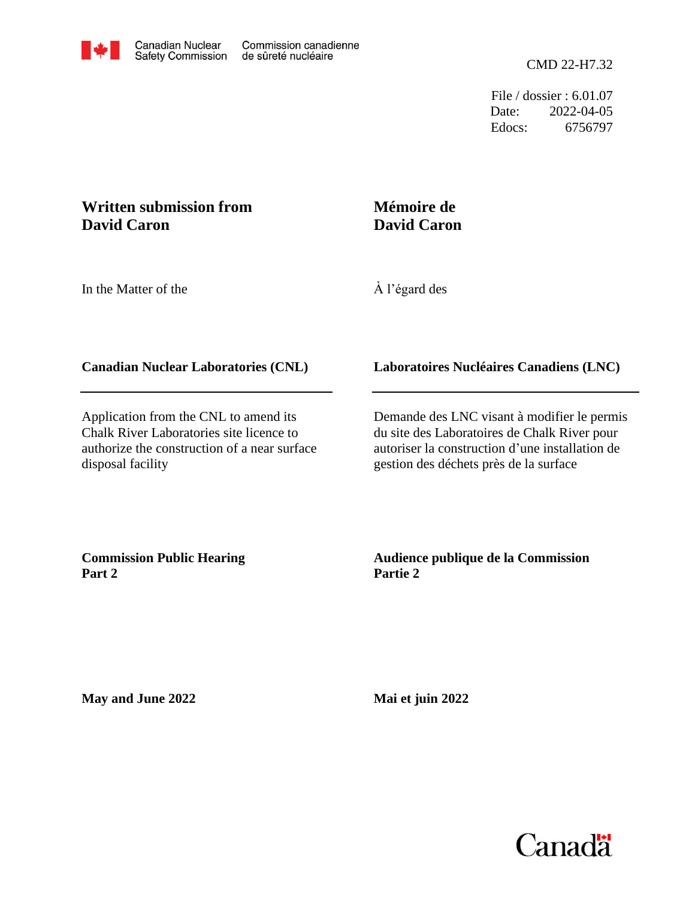Date: Edocs: 6756797 2022-04-05 File / dossier : 6.01.07

## **Written submission from David Caron**

# **Mémoire de David Caron**

In the Matter of the

À l'égard des

### **Canadian Nuclear Laboratories (CNL)**

Application from the CNL to amend its Chalk River Laboratories site licence to authorize the construction of a near surface disposal facility

#### **Laboratoires Nucléaires Canadiens (LNC)**

Demande des LNC visant à modifier le permis du site des Laboratoires de Chalk River pour autoriser la construction d'une installation de gestion des déchets près de la surface

**Commission Public Hearing Part 2**

**Audience publique de la Commission Partie 2**

**May and June 2022**

**Mai et juin 2022**